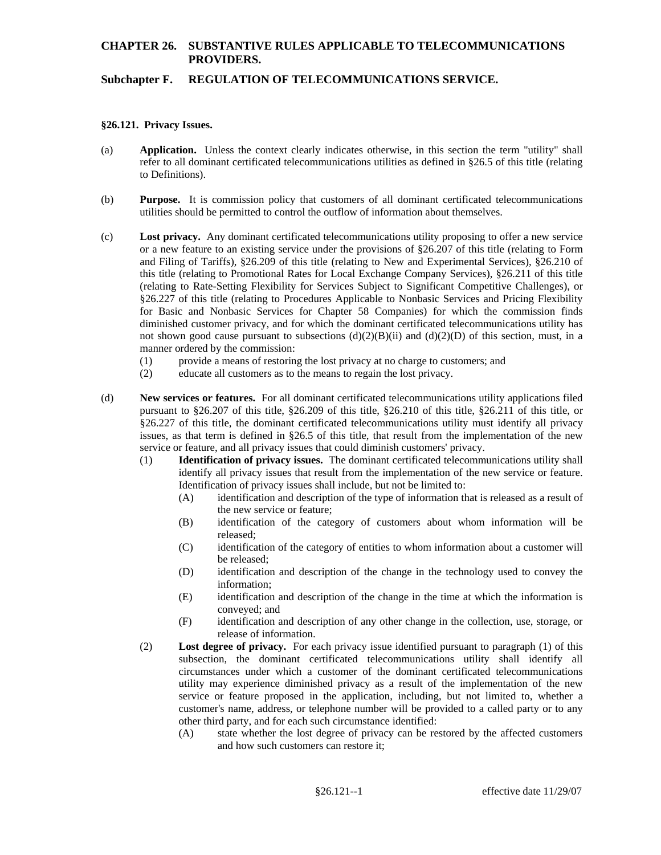# **CHAPTER 26. SUBSTANTIVE RULES APPLICABLE TO TELECOMMUNICATIONS PROVIDERS.**

### **Subchapter F. REGULATION OF TELECOMMUNICATIONS SERVICE.**

#### **§26.121. Privacy Issues.**

- (a) **Application.** Unless the context clearly indicates otherwise, in this section the term "utility" shall refer to all dominant certificated telecommunications utilities as defined in §26.5 of this title (relating to Definitions).
- (b) **Purpose.** It is commission policy that customers of all dominant certificated telecommunications utilities should be permitted to control the outflow of information about themselves.
- and Filing of Tariffs), §26.209 of this title (relating to New and Experimental Services), §26.210 of §26.227 of this title (relating to Procedures Applicable to Nonbasic Services and Pricing Flexibility (c) **Lost privacy.** Any dominant certificated telecommunications utility proposing to offer a new service or a new feature to an existing service under the provisions of §26.207 of this title (relating to Form this title (relating to Promotional Rates for Local Exchange Company Services), §26.211 of this title (relating to Rate-Setting Flexibility for Services Subject to Significant Competitive Challenges), or for Basic and Nonbasic Services for Chapter 58 Companies) for which the commission finds diminished customer privacy, and for which the dominant certificated telecommunications utility has not shown good cause pursuant to subsections  $(d)(2)(B)(ii)$  and  $(d)(2)(D)$  of this section, must, in a manner ordered by the commission:
	- (1) provide a means of restoring the lost privacy at no charge to customers; and
	- (2) educate all customers as to the means to regain the lost privacy.
- pursuant to §26.207 of this title, §26.209 of this title, §26.210 of this title, §26.211 of this title, or issues, as that term is defined in §26.5 of this title, that result from the implementation of the new (d) **New services or features.** For all dominant certificated telecommunications utility applications filed §26.227 of this title, the dominant certificated telecommunications utility must identify all privacy service or feature, and all privacy issues that could diminish customers' privacy.
	- (1) **Identification of privacy issues.** The dominant certificated telecommunications utility shall identify all privacy issues that result from the implementation of the new service or feature. Identification of privacy issues shall include, but not be limited to:
		- (A) identification and description of the type of information that is released as a result of the new service or feature;
		- (B) identification of the category of customers about whom information will be released;
		- (C) identification of the category of entities to whom information about a customer will be released;
		- information: (D) identification and description of the change in the technology used to convey the
		- information; (E) identification and description of the change in the time at which the information is conveyed; and
		- (F) identification and description of any other change in the collection, use, storage, or release of information.
	- (2) **Lost degree of privacy.** For each privacy issue identified pursuant to paragraph (1) of this subsection, the dominant certificated telecommunications utility shall identify all circumstances under which a customer of the dominant certificated telecommunications utility may experience diminished privacy as a result of the implementation of the new service or feature proposed in the application, including, but not limited to, whether a customer's name, address, or telephone number will be provided to a called party or to any other third party, and for each such circumstance identified:
		- (A) state whether the lost degree of privacy can be restored by the affected customers and how such customers can restore it;